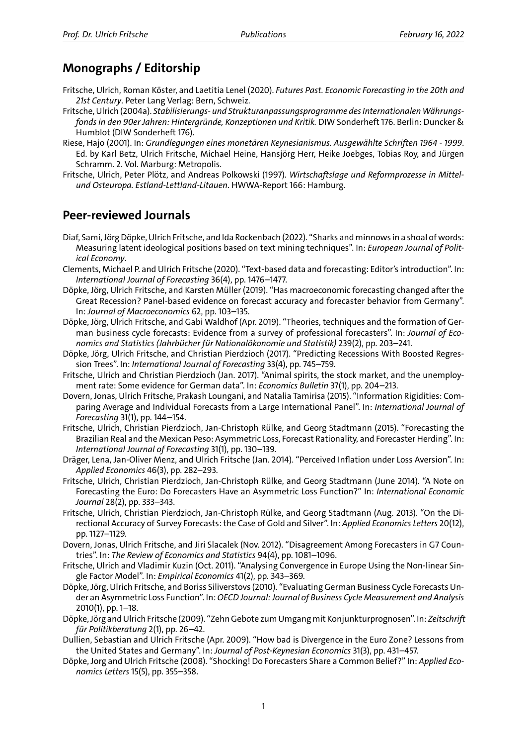## **Monographs / Editorship**

- Fritsche, Ulrich, Roman Köster, and Laetitia Lenel (2020). *Futures Past. Economic Forecasting in the 20th and 21st Century*. Peter Lang Verlag: Bern, Schweiz.
- Fritsche, Ulrich (2004a). *Stabilisierungs‐ und Strukturanpassungsprogramme des Internationalen Währungs‐ fonds in den 90er Jahren: Hintergründe, Konzeptionen und Kritik.* DIW Sonderheft 176. Berlin: Duncker & Humblot (DIW Sonderheft 176).
- Riese, Hajo (2001). In: *Grundlegungen eines monetären Keynesianismus. Ausgewählte Schriften 1964 ‐ 1999*. Ed. by Karl Betz, Ulrich Fritsche, Michael Heine, Hansjörg Herr, Heike Joebges, Tobias Roy, and Jürgen Schramm. 2. Vol. Marburg: Metropolis.
- Fritsche, Ulrich, Peter Plötz, and Andreas Polkowski (1997). *Wirtschaftslage und Reformprozesse in Mittel‐ und Osteuropa. Estland‐Lettland‐Litauen*. HWWA‐Report 166: Hamburg.

#### **Peer‐reviewed Journals**

- Diaf, Sami, Jörg Döpke, Ulrich Fritsche, and Ida Rockenbach (2022). "Sharks and minnows in a shoal of words: Measuring latent ideological positions based on text mining techniques". In: *European Journal of Polit‐ ical Economy*.
- Clements, Michael P. and Ulrich Fritsche (2020). "Text‐based data and forecasting: Editor's introduction". In: *International Journal of Forecasting* 36(4), pp. 1476–1477.
- Döpke, Jörg, Ulrich Fritsche, and Karsten Müller (2019). "Has macroeconomic forecasting changed after the Great Recession? Panel‐based evidence on forecast accuracy and forecaster behavior from Germany". In: *Journal of Macroeconomics* 62, pp. 103–135.
- Döpke, Jörg, Ulrich Fritsche, and Gabi Waldhof (Apr. 2019). "Theories, techniques and the formation of Ger‐ man business cycle forecasts: Evidence from a survey of professional forecasters". In: *Journal of Eco‐ nomics and Statistics (Jahrbücher für Nationalökonomie und Statistik)* 239(2), pp. 203–241.
- Döpke, Jörg, Ulrich Fritsche, and Christian Pierdzioch (2017). "Predicting Recessions With Boosted Regres‐ sion Trees". In: *International Journal of Forecasting* 33(4), pp. 745–759.
- Fritsche, Ulrich and Christian Pierdzioch (Jan. 2017). "Animal spirits, the stock market, and the unemploy‐ ment rate: Some evidence for German data". In: *Economics Bulletin* 37(1), pp. 204–213.
- Dovern, Jonas, Ulrich Fritsche, Prakash Loungani, and Natalia Tamirisa (2015). "Information Rigidities: Com‐ paring Average and Individual Forecasts from a Large International Panel". In: *International Journal of Forecasting* 31(1), pp. 144–154.
- Fritsche, Ulrich, Christian Pierdzioch, Jan‐Christoph Rülke, and Georg Stadtmann (2015). "Forecasting the Brazilian Real and the Mexican Peso: Asymmetric Loss, Forecast Rationality, and Forecaster Herding". In: *International Journal of Forecasting* 31(1), pp. 130–139.
- Dräger, Lena, Jan‐Oliver Menz, and Ulrich Fritsche (Jan. 2014). "Perceived Inflation under Loss Aversion". In: *Applied Economics* 46(3), pp. 282–293.
- Fritsche, Ulrich, Christian Pierdzioch, Jan‐Christoph Rülke, and Georg Stadtmann (June 2014). "A Note on Forecasting the Euro: Do Forecasters Have an Asymmetric Loss Function?" In: *International Economic Journal* 28(2), pp. 333–343.
- Fritsche, Ulrich, Christian Pierdzioch, Jan‐Christoph Rülke, and Georg Stadtmann (Aug. 2013). "On the Di‐ rectional Accuracy of Survey Forecasts: the Case of Gold and Silver". In: *Applied Economics Letters* 20(12), pp. 1127–1129.
- Dovern, Jonas, Ulrich Fritsche, and Jiri Slacalek (Nov. 2012). "Disagreement Among Forecasters in G7 Coun‐ tries". In: *The Review of Economics and Statistics* 94(4), pp. 1081–1096.
- Fritsche, Ulrich and Vladimir Kuzin (Oct. 2011). "Analysing Convergence in Europe Using the Non‐linear Sin‐ gle Factor Model". In: *Empirical Economics* 41(2), pp. 343–369.
- Döpke, Jörg, Ulrich Fritsche, and Boriss Siliverstovs (2010). "Evaluating German Business Cycle Forecasts Un‐ der an Asymmetric Loss Function". In: *OECD Journal: Journal of Business Cycle Measurement and Analysis* 2010(1), pp. 1–18.
- Döpke, Jörg and Ulrich Fritsche (2009). "Zehn Gebote zum Umgangmit Konjunkturprognosen". In: *Zeitschrift für Politikberatung* 2(1), pp. 26–42.
- Dullien, Sebastian and Ulrich Fritsche (Apr. 2009). "How bad is Divergence in the Euro Zone? Lessons from the United States and Germany". In: *Journal of Post‐Keynesian Economics* 31(3), pp. 431–457.
- Döpke, Jorg and Ulrich Fritsche (2008). "Shocking! Do Forecasters Share a Common Belief?" In: *Applied Eco‐ nomics Letters* 15(5), pp. 355–358.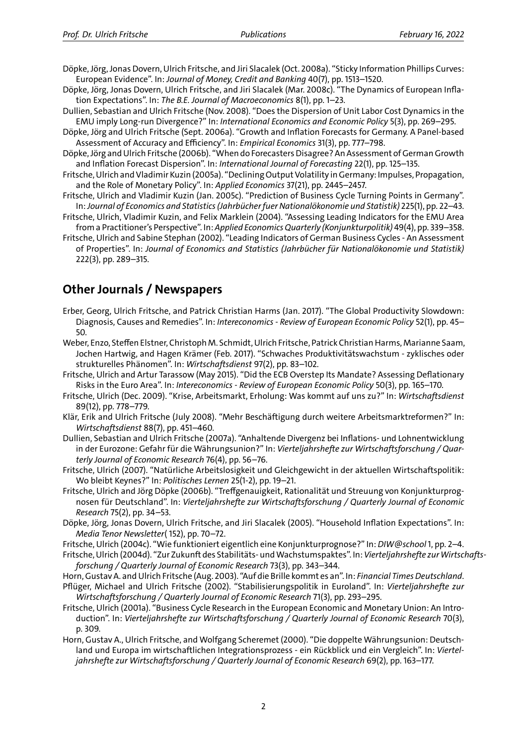- Döpke, Jörg, Jonas Dovern, Ulrich Fritsche, and Jiri Slacalek (Oct. 2008a). "Sticky Information Phillips Curves: European Evidence". In: *Journal of Money, Credit and Banking* 40(7), pp. 1513–1520.
- Döpke, Jörg, Jonas Dovern, Ulrich Fritsche, and Jiri Slacalek (Mar. 2008c). "The Dynamics of European Infla‐ tion Expectations". In: *The B.E. Journal of Macroeconomics* 8(1), pp. 1–23.
- Dullien, Sebastian and Ulrich Fritsche (Nov. 2008). "Does the Dispersion of Unit Labor Cost Dynamics in the EMU imply Long‐run Divergence?" In: *International Economics and Economic Policy* 5(3), pp. 269–295.
- Döpke, Jörg and Ulrich Fritsche (Sept. 2006a). "Growth and Inflation Forecasts for Germany. A Panel‐based Assessment of Accuracy and Efficiency". In: *Empirical Economics* 31(3), pp. 777–798.
- Döpke, Jörg and Ulrich Fritsche (2006b). "When do Forecasters Disagree? An Assessment of German Growth and Inflation Forecast Dispersion". In: *International Journal of Forecasting* 22(1), pp. 125–135.
- Fritsche, Ulrich and Vladimir Kuzin (2005a). "Declining Output Volatility in Germany: Impulses, Propagation, and the Role of Monetary Policy". In: *Applied Economics* 37(21), pp. 2445–2457.
- Fritsche, Ulrich and Vladimir Kuzin (Jan. 2005c). "Prediction of Business Cycle Turning Points in Germany". In:*Journal of Economics and Statistics (Jahrbücher fuer Nationalökonomie und Statistik)* 225(1), pp. 22–43.
- Fritsche, Ulrich, Vladimir Kuzin, and Felix Marklein (2004). "Assessing Leading Indicators for the EMU Area from a Practitioner's Perspective". In: *Applied Economics Quarterly (Konjunkturpolitik)* 49(4), pp. 339–358.
- Fritsche, Ulrich and Sabine Stephan (2002). "Leading Indicators of German Business Cycles ‐ An Assessment of Properties". In: *Journal of Economics and Statistics (Jahrbücher für Nationalökonomie und Statistik)* 222(3), pp. 289–315.

### **Other Journals / Newspapers**

- Erber, Georg, Ulrich Fritsche, and Patrick Christian Harms (Jan. 2017). "The Global Productivity Slowdown: Diagnosis, Causes and Remedies". In: *Intereconomics ‐ Review of European Economic Policy* 52(1), pp. 45– 50.
- Weber, Enzo, Steffen Elstner, Christoph M. Schmidt, Ulrich Fritsche, Patrick Christian Harms, Marianne Saam, Jochen Hartwig, and Hagen Krämer (Feb. 2017). "Schwaches Produktivitätswachstum ‐ zyklisches oder strukturelles Phänomen". In: *Wirtschaftsdienst* 97(2), pp. 83–102.
- Fritsche, Ulrich and Artur Tarassow (May 2015). "Did the ECB Overstep Its Mandate? Assessing Deflationary Risks in the Euro Area". In: *Intereconomics ‐ Review of European Economic Policy* 50(3), pp. 165–170.
- Fritsche, Ulrich (Dec. 2009). "Krise, Arbeitsmarkt, Erholung: Was kommt auf uns zu?" In: *Wirtschaftsdienst* 89(12), pp. 778–779.
- Klär, Erik and Ulrich Fritsche (July 2008). "Mehr Beschäftigung durch weitere Arbeitsmarktreformen?" In: *Wirtschaftsdienst* 88(7), pp. 451–460.
- Dullien, Sebastian and Ulrich Fritsche (2007a). "Anhaltende Divergenz bei Inflations‐ und Lohnentwicklung in der Eurozone: Gefahr für die Währungsunion?" In: *Vierteljahrshefte zur Wirtschaftsforschung / Quar‐ terly Journal of Economic Research* 76(4), pp. 56–76.
- Fritsche, Ulrich (2007). "Natürliche Arbeitslosigkeit und Gleichgewicht in der aktuellen Wirtschaftspolitik: Wo bleibt Keynes?" In: *Politisches Lernen* 25(1‐2), pp. 19–21.
- Fritsche, Ulrich and Jörg Döpke (2006b). "Treffgenauigkeit, Rationalität und Streuung von Konjunkturprog‐ nosen für Deutschland". In: *Vierteljahrshefte zur Wirtschaftsforschung / Quarterly Journal of Economic Research* 75(2), pp. 34–53.
- Döpke, Jörg, Jonas Dovern, Ulrich Fritsche, and Jiri Slacalek (2005). "Household Inflation Expectations". In: *Media Tenor Newsletter*( 152), pp. 70–72.
- Fritsche, Ulrich (2004c). "Wie funktioniert eigentlich eine Konjunkturprognose?" In: *DIW@school*1, pp. 2–4.
- Fritsche, Ulrich (2004d). "Zur Zukunft des Stabilitäts‐ undWachstumspaktes". In:*Vierteljahrshefte zurWirtschafts‐ forschung / Quarterly Journal of Economic Research* 73(3), pp. 343–344.
- Horn, Gustav A. and Ulrich Fritsche (Aug. 2003). "Auf die Brille kommt es an". In: *Financial Times Deutschland*.
- Pflüger, Michael and Ulrich Fritsche (2002). "Stabilisierungspolitik in Euroland". In: *Vierteljahrshefte zur Wirtschaftsforschung / Quarterly Journal of Economic Research* 71(3), pp. 293–295.
- Fritsche, Ulrich (2001a). "Business Cycle Research in the European Economic and Monetary Union: An Intro‐ duction". In: *Vierteljahrshefte zur Wirtschaftsforschung / Quarterly Journal of Economic Research* 70(3), p. 309.
- Horn, Gustav A., Ulrich Fritsche, and Wolfgang Scheremet (2000). "Die doppelte Währungsunion: Deutsch‐ land und Europa im wirtschaftlichen Integrationsprozess ‐ ein Rückblick und ein Vergleich". In: *Viertel‐ jahrshefte zur Wirtschaftsforschung / Quarterly Journal of Economic Research* 69(2), pp. 163–177.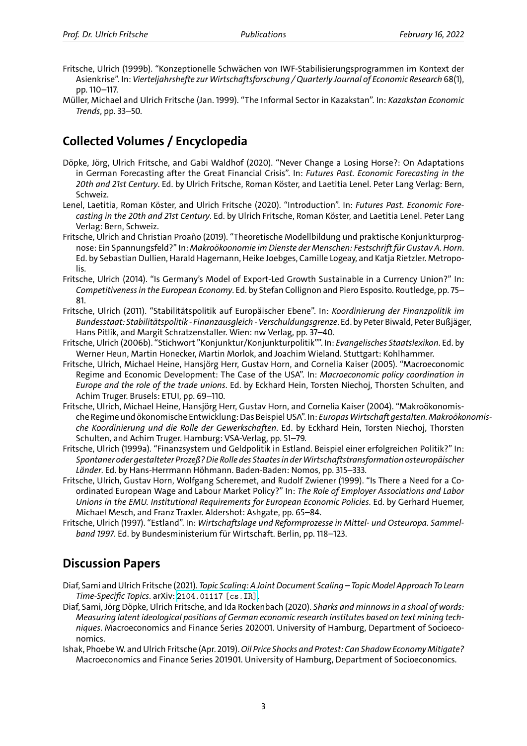- Fritsche, Ulrich (1999b). "Konzeptionelle Schwächen von IWF‐Stabilisierungsprogrammen im Kontext der Asienkrise". In: *Vierteljahrshefte zur Wirtschaftsforschung / Quarterly Journal of Economic Research* 68(1), pp. 110–117.
- Müller, Michael and Ulrich Fritsche (Jan. 1999). "The Informal Sector in Kazakstan". In: *Kazakstan Economic Trends*, pp. 33–50.

# **Collected Volumes / Encyclopedia**

- Döpke, Jörg, Ulrich Fritsche, and Gabi Waldhof (2020). "Never Change a Losing Horse?: On Adaptations in German Forecasting after the Great Financial Crisis". In: *Futures Past. Economic Forecasting in the 20th and 21st Century*. Ed. by Ulrich Fritsche, Roman Köster, and Laetitia Lenel. Peter Lang Verlag: Bern, Schweiz.
- Lenel, Laetitia, Roman Köster, and Ulrich Fritsche (2020). "Introduction". In: *Futures Past. Economic Fore‐ casting in the 20th and 21st Century*. Ed. by Ulrich Fritsche, Roman Köster, and Laetitia Lenel. Peter Lang Verlag: Bern, Schweiz.
- Fritsche, Ulrich and Christian Proaño (2019). "Theoretische Modellbildung und praktische Konjunkturprog‐ nose: Ein Spannungsfeld?" In: *Makroökoonomie im Dienste der Menschen: Festschrift für Gustav A. Horn*. Ed. by Sebastian Dullien, Harald Hagemann, Heike Joebges, Camille Logeay, and Katja Rietzler. Metropo‐ lis.
- Fritsche, Ulrich (2014). "Is Germany's Model of Export‐Led Growth Sustainable in a Currency Union?" In: *Competitiveness in the European Economy*. Ed. by Stefan Collignon and Piero Esposito. Routledge, pp. 75– 81.
- Fritsche, Ulrich (2011). "Stabilitätspolitik auf Europäischer Ebene". In: *Koordinierung der Finanzpolitik im Bundesstaat: Stabilitätspolitik ‐ Finanzausgleich ‐ Verschuldungsgrenze*. Ed. by Peter Biwald, Peter Bußjäger, Hans Pitlik, and Margit Schratzenstaller. Wien: nw Verlag, pp. 37–40.
- Fritsche, Ulrich (2006b). "Stichwort "Konjunktur/Konjunkturpolitik"". In: *Evangelisches Staatslexikon*. Ed. by Werner Heun, Martin Honecker, Martin Morlok, and Joachim Wieland. Stuttgart: Kohlhammer.
- Fritsche, Ulrich, Michael Heine, Hansjörg Herr, Gustav Horn, and Cornelia Kaiser (2005). "Macroeconomic Regime and Economic Development: The Case of the USA". In: *Macroeconomic policy coordination in Europe and the role of the trade unions*. Ed. by Eckhard Hein, Torsten Niechoj, Thorsten Schulten, and Achim Truger. Brusels: ETUI, pp. 69–110.
- Fritsche, Ulrich, Michael Heine, Hansjörg Herr, Gustav Horn, and Cornelia Kaiser (2004). "Makroökonomis‐ che Regime und ökonomische Entwicklung: Das Beispiel USA". In: *EuropasWirtschaft gestalten.Makroökonomis‐ che Koordinierung und die Rolle der Gewerkschaften*. Ed. by Eckhard Hein, Torsten Niechoj, Thorsten Schulten, and Achim Truger. Hamburg: VSA‐Verlag, pp. 51–79.
- Fritsche, Ulrich (1999a). "Finanzsystem und Geldpolitik in Estland. Beispiel einer erfolgreichen Politik?" In: *Spontaner oder gestalteter Prozeß? Die Rolle des Staates in derWirtschaftstransformation osteuropäischer Länder*. Ed. by Hans‐Herrmann Höhmann. Baden‐Baden: Nomos, pp. 315–333.
- Fritsche, Ulrich, Gustav Horn, Wolfgang Scheremet, and Rudolf Zwiener (1999). "Is There a Need for a Co‐ ordinated European Wage and Labour Market Policy?" In: *The Role of Employer Associations and Labor Unions in the EMU. Institutional Requirements for European Economic Policies*. Ed. by Gerhard Huemer, Michael Mesch, and Franz Traxler. Aldershot: Ashgate, pp. 65–84.
- Fritsche, Ulrich (1997). "Estland". In: *Wirtschaftslage und Reformprozesse in Mittel‐ und Osteuropa. Sammel‐ band 1997*. Ed. by Bundesministerium für Wirtschaft. Berlin, pp. 118–123.

## **Discussion Papers**

- Diaf, Sami and Ulrich Fritsche (2021). *Topic Scaling: A Joint Document Scaling Topic Model Approach To Learn Time‐Specific Topics*. arXiv: 2104.01117 [cs.IR].
- Diaf, Sami, Jörg Döpke, Ulrich Fritsche, and Ida Rockenbach (2020). *Sharks and minnows in a shoal of words: Measuring latent ideological positions of German economic research institutes based on text mining tech‐ niques*. Macroeconomics and Finance Series 202001. University of Hamburg, Department of Socioeco‐ nomics.
- Ishak, PhoebeW. and Ulrich Fri[tsche \(Apr. 2019\).](https://arxiv.org/abs/2104.01117)*Oil Price Shocks and Protest: Can Shadow Economy Mitigate?* Macroeconomics and Finance Series 201901. University of Hamburg, Department of Socioeconomics.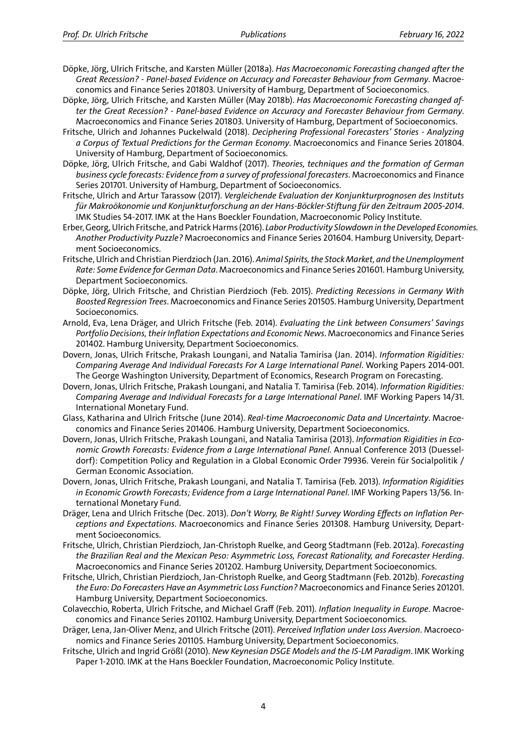- Döpke, Jörg, Ulrich Fritsche, and Karsten Müller (2018a). *Has Macroeconomic Forecasting changed after the Great Recession? ‐ Panel‐based Evidence on Accuracy and Forecaster Behaviour from Germany*. Macroe‐ conomics and Finance Series 201803. University of Hamburg, Department of Socioeconomics.
- Döpke, Jörg, Ulrich Fritsche, and Karsten Müller (May 2018b). *Has Macroeconomic Forecasting changed af‐ ter the Great Recession? ‐ Panel‐based Evidence on Accuracy and Forecaster Behaviour from Germany*. Macroeconomics and Finance Series 201803. University of Hamburg, Department of Socioeconomics.
- Fritsche, Ulrich and Johannes Puckelwald (2018). *Deciphering Professional Forecasters' Stories ‐ Analyzing a Corpus of Textual Predictions for the German Economy*. Macroeconomics and Finance Series 201804. University of Hamburg, Department of Socioeconomics.
- Döpke, Jörg, Ulrich Fritsche, and Gabi Waldhof (2017). *Theories, techniques and the formation of German business cycle forecasts: Evidence from a survey of professional forecasters*. Macroeconomics and Finance Series 201701. University of Hamburg, Department of Socioeconomics.
- Fritsche, Ulrich and Artur Tarassow (2017). *Vergleichende Evaluation der Konjunkturprognosen des Instituts für Makroökonomie und Konjunkturforschung an der Hans‐Böckler‐Stiftung für den Zeitraum 2005‐2014*. IMK Studies 54‐2017. IMK at the Hans Boeckler Foundation, Macroeconomic Policy Institute.
- Erber, Georg, Ulrich Fritsche, and Patrick Harms (2016). *Labor Productivity Slowdown in the Developed Economies. Another Productivity Puzzle?* Macroeconomics and Finance Series 201604. Hamburg University, Depart‐ ment Socioeconomics.
- Fritsche, Ulrich and Christian Pierdzioch (Jan. 2016). *Animal Spirits, the Stock Market, and the Unemployment Rate: Some Evidence for German Data*. Macroeconomics and Finance Series 201601. Hamburg University, Department Socioeconomics.
- Döpke, Jörg, Ulrich Fritsche, and Christian Pierdzioch (Feb. 2015). *Predicting Recessions in Germany With Boosted Regression Trees*. Macroeconomics and Finance Series 201505. Hamburg University, Department Socioeconomics.
- Arnold, Eva, Lena Dräger, and Ulrich Fritsche (Feb. 2014). *Evaluating the Link between Consumers' Savings Portfolio Decisions, their Inflation Expectations and Economic News*. Macroeconomics and Finance Series 201402. Hamburg University, Department Socioeconomics.
- Dovern, Jonas, Ulrich Fritsche, Prakash Loungani, and Natalia Tamirisa (Jan. 2014). *Information Rigidities: Comparing Average And Individual Forecasts For A Large International Panel*. Working Papers 2014‐001. The George Washington University, Department of Economics, Research Program on Forecasting.
- Dovern, Jonas, Ulrich Fritsche, Prakash Loungani, and Natalia T. Tamirisa (Feb. 2014). *Information Rigidities: Comparing Average and Individual Forecasts for a Large International Panel*. IMF Working Papers 14/31. International Monetary Fund.
- Glass, Katharina and Ulrich Fritsche (June 2014). *Real‐time Macroeconomic Data and Uncertainty*. Macroe‐ conomics and Finance Series 201406. Hamburg University, Department Socioeconomics.
- Dovern, Jonas, Ulrich Fritsche, Prakash Loungani, and Natalia Tamirisa (2013). *Information Rigidities in Eco‐ nomic Growth Forecasts: Evidence from a Large International Panel*. Annual Conference 2013 (Duessel‐ dorf): Competition Policy and Regulation in a Global Economic Order 79936. Verein für Socialpolitik / German Economic Association.
- Dovern, Jonas, Ulrich Fritsche, Prakash Loungani, and Natalia T. Tamirisa (Feb. 2013). *Information Rigidities in Economic Growth Forecasts; Evidence from a Large International Panel*. IMF Working Papers 13/56. In‐ ternational Monetary Fund.
- Dräger, Lena and Ulrich Fritsche (Dec. 2013). *Don't Worry, Be Right! Survey Wording Effects on Inflation Per‐ ceptions and Expectations*. Macroeconomics and Finance Series 201308. Hamburg University, Depart‐ ment Socioeconomics.
- Fritsche, Ulrich, Christian Pierdzioch, Jan‐Christoph Ruelke, and Georg Stadtmann (Feb. 2012a). *Forecasting the Brazilian Real and the Mexican Peso: Asymmetric Loss, Forecast Rationality, and Forecaster Herding*. Macroeconomics and Finance Series 201202. Hamburg University, Department Socioeconomics.
- Fritsche, Ulrich, Christian Pierdzioch, Jan‐Christoph Ruelke, and Georg Stadtmann (Feb. 2012b). *Forecasting the Euro: Do Forecasters Have an Asymmetric Loss Function?* Macroeconomics and Finance Series 201201. Hamburg University, Department Socioeconomics.
- Colavecchio, Roberta, Ulrich Fritsche, and Michael Graff (Feb. 2011). *Inflation Inequality in Europe*. Macroe‐ conomics and Finance Series 201102. Hamburg University, Department Socioeconomics.
- Dräger, Lena, Jan‐Oliver Menz, and Ulrich Fritsche (2011). *Perceived Inflation under Loss Aversion*. Macroeco‐ nomics and Finance Series 201105. Hamburg University, Department Socioeconomics.
- Fritsche, Ulrich and Ingrid Größl (2010). *New Keynesian DSGE Models and the IS‐LM Paradigm*. IMK Working Paper 1‐2010. IMK at the Hans Boeckler Foundation, Macroeconomic Policy Institute.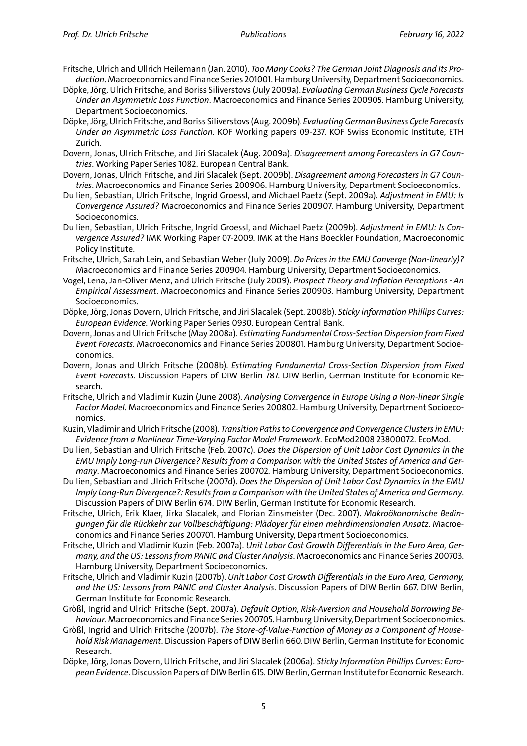- Fritsche, Ulrich and Ullrich Heilemann (Jan. 2010). *Too Many Cooks? The German Joint Diagnosis and Its Pro‐ duction*. Macroeconomics and Finance Series 201001. Hamburg University, Department Socioeconomics.
- Döpke, Jörg, Ulrich Fritsche, and Boriss Siliverstovs (July 2009a). *Evaluating German Business Cycle Forecasts Under an Asymmetric Loss Function*. Macroeconomics and Finance Series 200905. Hamburg University, Department Socioeconomics.
- Döpke, Jörg, Ulrich Fritsche, and Boriss Siliverstovs (Aug. 2009b). *Evaluating German Business Cycle Forecasts Under an Asymmetric Loss Function*. KOF Working papers 09‐237. KOF Swiss Economic Institute, ETH Zurich.
- Dovern, Jonas, Ulrich Fritsche, and Jiri Slacalek (Aug. 2009a). *Disagreement among Forecasters in G7 Coun‐ tries*. Working Paper Series 1082. European Central Bank.
- Dovern, Jonas, Ulrich Fritsche, and Jiri Slacalek (Sept. 2009b). *Disagreement among Forecasters in G7 Coun‐ tries*. Macroeconomics and Finance Series 200906. Hamburg University, Department Socioeconomics.
- Dullien, Sebastian, Ulrich Fritsche, Ingrid Groessl, and Michael Paetz (Sept. 2009a). *Adjustment in EMU: Is Convergence Assured?* Macroeconomics and Finance Series 200907. Hamburg University, Department Socioeconomics.
- Dullien, Sebastian, Ulrich Fritsche, Ingrid Groessl, and Michael Paetz (2009b). *Adjustment in EMU: Is Con‐ vergence Assured?* IMK Working Paper 07‐2009. IMK at the Hans Boeckler Foundation, Macroeconomic Policy Institute.
- Fritsche, Ulrich, Sarah Lein, and Sebastian Weber (July 2009). *Do Prices in the EMU Converge (Non‐linearly)?* Macroeconomics and Finance Series 200904. Hamburg University, Department Socioeconomics.
- Vogel, Lena, Jan‐Oliver Menz, and Ulrich Fritsche (July 2009). *Prospect Theory and Inflation Perceptions ‐ An Empirical Assessment*. Macroeconomics and Finance Series 200903. Hamburg University, Department Socioeconomics.
- Döpke, Jörg, Jonas Dovern, Ulrich Fritsche, and Jiri Slacalek (Sept. 2008b). *Sticky information Phillips Curves: European Evidence*. Working Paper Series 0930. European Central Bank.
- Dovern, Jonas and Ulrich Fritsche (May 2008a). *Estimating Fundamental Cross‐Section Dispersion from Fixed Event Forecasts*. Macroeconomics and Finance Series 200801. Hamburg University, Department Socioe‐ conomics.
- Dovern, Jonas and Ulrich Fritsche (2008b). *Estimating Fundamental Cross‐Section Dispersion from Fixed Event Forecasts*. Discussion Papers of DIW Berlin 787. DIW Berlin, German Institute for Economic Re‐ search.
- Fritsche, Ulrich and Vladimir Kuzin (June 2008). *Analysing Convergence in Europe Using a Non‐linear Single Factor Model*. Macroeconomics and Finance Series 200802. Hamburg University, Department Socioeco‐ nomics.
- Kuzin, Vladimir and Ulrich Fritsche (2008). *Transition Paths to Convergence and Convergence Clusters in EMU: Evidence from a Nonlinear Time‐Varying Factor Model Framework*. EcoMod2008 23800072. EcoMod.
- Dullien, Sebastian and Ulrich Fritsche (Feb. 2007c). *Does the Dispersion of Unit Labor Cost Dynamics in the EMU Imply Long‐run Divergence? Results from a Comparison with the United States of America and Ger‐ many*. Macroeconomics and Finance Series 200702. Hamburg University, Department Socioeconomics.
- Dullien, Sebastian and Ulrich Fritsche (2007d). *Does the Dispersion of Unit Labor Cost Dynamics in the EMU Imply Long‐Run Divergence?: Results from a Comparison with the United States of America and Germany*. Discussion Papers of DIW Berlin 674. DIW Berlin, German Institute for Economic Research.
- Fritsche, Ulrich, Erik Klaer, Jirka Slacalek, and Florian Zinsmeister (Dec. 2007). *Makroökonomische Bedin‐ gungen für die Rückkehr zur Vollbeschäftigung: Plädoyer für einen mehrdimensionalen Ansatz*. Macroe‐ conomics and Finance Series 200701. Hamburg University, Department Socioeconomics.
- Fritsche, Ulrich and Vladimir Kuzin (Feb. 2007a). *Unit Labor Cost Growth Differentials in the Euro Area, Ger‐ many, and the US: Lessons from PANIC and Cluster Analysis*. Macroeconomics and Finance Series 200703. Hamburg University, Department Socioeconomics.
- Fritsche, Ulrich and Vladimir Kuzin (2007b). *Unit Labor Cost Growth Differentials in the Euro Area, Germany, and the US: Lessons from PANIC and Cluster Analysis*. Discussion Papers of DIW Berlin 667. DIW Berlin, German Institute for Economic Research.
- Größl, Ingrid and Ulrich Fritsche (Sept. 2007a). *Default Option, Risk‐Aversion and Household Borrowing Be‐ haviour*.Macroeconomics and Finance Series 200705. Hamburg University, Department Socioeconomics.
- Größl, Ingrid and Ulrich Fritsche (2007b). *The Store‐of‐Value‐Function of Money as a Component of House‐ hold Risk Management*. Discussion Papers of DIW Berlin 660. DIW Berlin, German Institute for Economic Research.
- Döpke, Jörg, Jonas Dovern, Ulrich Fritsche, and Jiri Slacalek (2006a). *Sticky Information Phillips Curves: Euro‐ pean Evidence*. Discussion Papers of DIW Berlin 615. DIW Berlin, German Institute for Economic Research.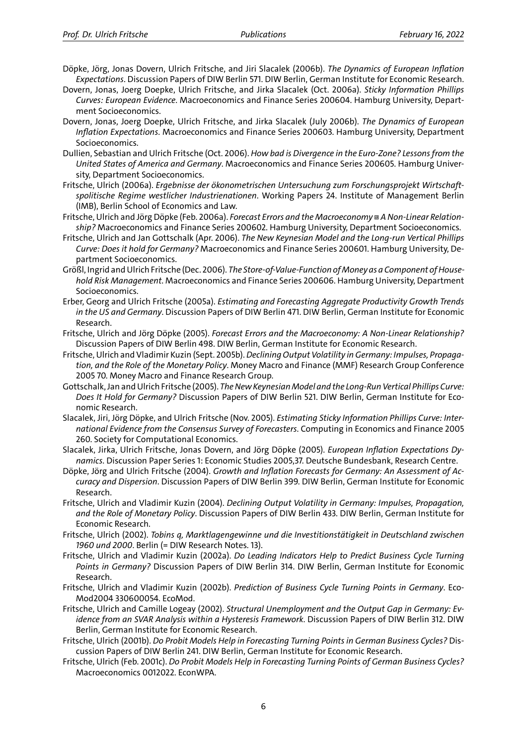- Döpke, Jörg, Jonas Dovern, Ulrich Fritsche, and Jiri Slacalek (2006b). *The Dynamics of European Inflation Expectations*. Discussion Papers of DIW Berlin 571. DIW Berlin, German Institute for Economic Research.
- Dovern, Jonas, Joerg Doepke, Ulrich Fritsche, and Jirka Slacalek (Oct. 2006a). *Sticky Information Phillips Curves: European Evidence*. Macroeconomics and Finance Series 200604. Hamburg University, Depart‐ ment Socioeconomics.
- Dovern, Jonas, Joerg Doepke, Ulrich Fritsche, and Jirka Slacalek (July 2006b). *The Dynamics of European Inflation Expectations*. Macroeconomics and Finance Series 200603. Hamburg University, Department Socioeconomics.
- Dullien, Sebastian and Ulrich Fritsche (Oct. 2006). *How bad is Divergence in the Euro‐Zone? Lessons from the United States of America and Germany*. Macroeconomics and Finance Series 200605. Hamburg Univer‐ sity, Department Socioeconomics.
- Fritsche, Ulrich (2006a). *Ergebnisse der ökonometrischen Untersuchung zum Forschungsprojekt Wirtschaft‐ spolitische Regime westlicher Industrienationen*. Working Papers 24. Institute of Management Berlin (IMB), Berlin School of Economics and Law.
- Fritsche, Ulrich and Jörg Döpke (Feb. 2006a). *Forecast Errors and the Macroeconomy III A Non-Linear Relationship?* Macroeconomics and Finance Series 200602. Hamburg University, Department Socioeconomics.
- Fritsche, Ulrich and Jan Gottschalk (Apr. 2006). *The New Keynesian Model and the Long‐run Vertical Phillips Curve: Does it hold for Germany?* Macroeconomics and Finance Series 200601. Hamburg University, De‐ partment Socioeconomics.
- Größl, Ingrid and Ulrich Fritsche (Dec. 2006). *The Store‐of‐Value‐Function ofMoney as a Component of House‐ hold Risk Management*. Macroeconomics and Finance Series 200606. Hamburg University, Department Socioeconomics.
- Erber, Georg and Ulrich Fritsche (2005a). *Estimating and Forecasting Aggregate Productivity Growth Trends in the US and Germany*. Discussion Papers of DIW Berlin 471. DIW Berlin, German Institute for Economic Research.
- Fritsche, Ulrich and Jörg Döpke (2005). *Forecast Errors and the Macroeconomy: A Non‐Linear Relationship?* Discussion Papers of DIW Berlin 498. DIW Berlin, German Institute for Economic Research.
- Fritsche, Ulrich and Vladimir Kuzin (Sept. 2005b).*Declining Output Volatility in Germany: Impulses, Propaga‐ tion, and the Role of the Monetary Policy*. Money Macro and Finance (MMF) Research Group Conference 2005 70. Money Macro and Finance Research Group.
- Gottschalk, Jan and Ulrich Fritsche (2005). *The New KeynesianModel and the Long‐Run Vertical Phillips Curve: Does It Hold for Germany?* Discussion Papers of DIW Berlin 521. DIW Berlin, German Institute for Eco‐ nomic Research.
- Slacalek, Jiri, Jörg Döpke, and Ulrich Fritsche (Nov. 2005). *Estimating Sticky Information Phillips Curve: Inter‐ national Evidence from the Consensus Survey of Forecasters*. Computing in Economics and Finance 2005 260. Society for Computational Economics.
- Slacalek, Jirka, Ulrich Fritsche, Jonas Dovern, and Jörg Döpke (2005). *European Inflation Expectations Dy‐ namics*. Discussion Paper Series 1: Economic Studies 2005,37. Deutsche Bundesbank, Research Centre.
- Döpke, Jörg and Ulrich Fritsche (2004). *Growth and Inflation Forecasts for Germany: An Assessment of Ac‐ curacy and Dispersion*. Discussion Papers of DIW Berlin 399. DIW Berlin, German Institute for Economic Research.
- Fritsche, Ulrich and Vladimir Kuzin (2004). *Declining Output Volatility in Germany: Impulses, Propagation, and the Role of Monetary Policy*. Discussion Papers of DIW Berlin 433. DIW Berlin, German Institute for Economic Research.
- Fritsche, Ulrich (2002). *Tobins q, Marktlagengewinne und die Investitionstätigkeit in Deutschland zwischen 1960 und 2000*. Berlin (= DIW Research Notes. 13).
- Fritsche, Ulrich and Vladimir Kuzin (2002a). *Do Leading Indicators Help to Predict Business Cycle Turning Points in Germany?* Discussion Papers of DIW Berlin 314. DIW Berlin, German Institute for Economic Research.
- Fritsche, Ulrich and Vladimir Kuzin (2002b). *Prediction of Business Cycle Turning Points in Germany*. Eco‐ Mod2004 330600054. EcoMod.
- Fritsche, Ulrich and Camille Logeay (2002). *Structural Unemployment and the Output Gap in Germany: Ev‐ idence from an SVAR Analysis within a Hysteresis Framework*. Discussion Papers of DIW Berlin 312. DIW Berlin, German Institute for Economic Research.
- Fritsche, Ulrich (2001b). *Do Probit Models Help in Forecasting Turning Points in German Business Cycles?* Dis‐ cussion Papers of DIW Berlin 241. DIW Berlin, German Institute for Economic Research.
- Fritsche, Ulrich (Feb. 2001c). *Do Probit Models Help in Forecasting Turning Points of German Business Cycles?* Macroeconomics 0012022. EconWPA.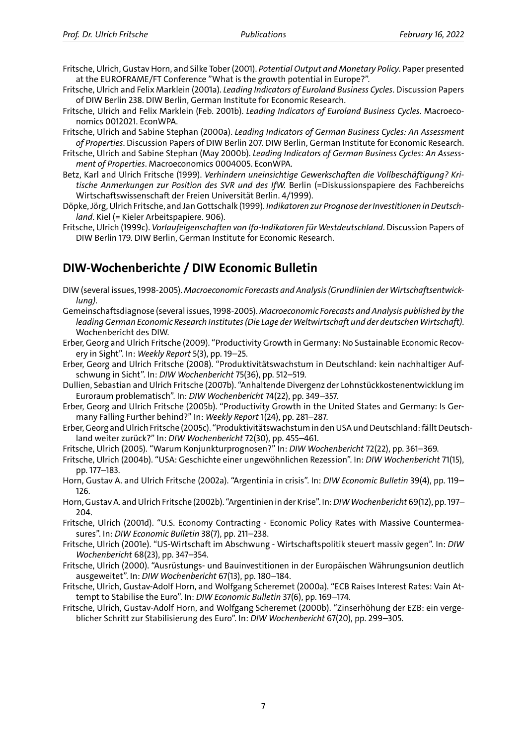- Fritsche, Ulrich, Gustav Horn, and Silke Tober (2001). *Potential Output and Monetary Policy*. Paper presented at the EUROFRAME/FT Conference "What is the growth potential in Europe?".
- Fritsche, Ulrich and Felix Marklein (2001a). *Leading Indicators of Euroland Business Cycles*. Discussion Papers of DIW Berlin 238. DIW Berlin, German Institute for Economic Research.
- Fritsche, Ulrich and Felix Marklein (Feb. 2001b). *Leading Indicators of Euroland Business Cycles*. Macroeco‐ nomics 0012021. EconWPA.
- Fritsche, Ulrich and Sabine Stephan (2000a). *Leading Indicators of German Business Cycles: An Assessment of Properties*. Discussion Papers of DIW Berlin 207. DIW Berlin, German Institute for Economic Research.
- Fritsche, Ulrich and Sabine Stephan (May 2000b). *Leading Indicators of German Business Cycles: An Assess‐ ment of Properties*. Macroeconomics 0004005. EconWPA.
- Betz, Karl and Ulrich Fritsche (1999). *Verhindern uneinsichtige Gewerkschaften die Vollbeschäftigung? Kri‐ tische Anmerkungen zur Position des SVR und des IfW.* Berlin (=Diskussionspapiere des Fachbereichs Wirtschaftswissenschaft der Freien Universität Berlin. 4/1999).
- Döpke, Jörg, Ulrich Fritsche, and Jan Gottschalk (1999). *Indikatoren zur Prognose der Investitionen in Deutsch‐ land*. Kiel (= Kieler Arbeitspapiere. 906).
- Fritsche, Ulrich (1999c). *Vorlaufeigenschaften von Ifo-Indikatoren für Westdeutschland*. Discussion Papers of DIW Berlin 179. DIW Berlin, German Institute for Economic Research.

### **DIW‐Wochenberichte / DIW Economic Bulletin**

- DIW (several issues, 1998‐2005). *Macroeconomic Forecasts and Analysis (Grundlinien der Wirtschaftsentwick‐ lung)*.
- Gemeinschaftsdiagnose (several issues, 1998‐2005). *Macroeconomic Forecasts and Analysis published by the leading German Economic Research Institutes (Die Lage der Weltwirtschaft und der deutschen Wirtschaft)*. Wochenbericht des DIW.
- Erber, Georg and Ulrich Fritsche (2009). "Productivity Growth in Germany: No Sustainable Economic Recov‐ ery in Sight". In: *Weekly Report* 5(3), pp. 19–25.

Erber, Georg and Ulrich Fritsche (2008). "Produktivitätswachstum in Deutschland: kein nachhaltiger Auf‐ schwung in Sicht". In: *DIW Wochenbericht* 75(36), pp. 512–519.

- Dullien, Sebastian and Ulrich Fritsche (2007b). "Anhaltende Divergenz der Lohnstückkostenentwicklung im Euroraum problematisch". In: *DIW Wochenbericht* 74(22), pp. 349–357.
- Erber, Georg and Ulrich Fritsche (2005b). "Productivity Growth in the United States and Germany: Is Ger‐ many Falling Further behind?" In: *Weekly Report* 1(24), pp. 281–287.
- Erber, Georg and Ulrich Fritsche (2005c). "Produktivitätswachstum in den USA und Deutschland: fällt Deutsch‐ land weiter zurück?" In: *DIW Wochenbericht* 72(30), pp. 455–461.
- Fritsche, Ulrich (2005). "Warum Konjunkturprognosen?" In: *DIW Wochenbericht* 72(22), pp. 361–369.
- Fritsche, Ulrich (2004b). "USA: Geschichte einer ungewöhnlichen Rezession". In: *DIW Wochenbericht* 71(15), pp. 177–183.
- Horn, Gustav A. and Ulrich Fritsche (2002a). "Argentinia in crisis". In: *DIW Economic Bulletin* 39(4), pp. 119– 126.
- Horn, Gustav A. and Ulrich Fritsche (2002b). "Argentinien in der Krise". In:*DIWWochenbericht* 69(12), pp. 197– 204.
- Fritsche, Ulrich (2001d). "U.S. Economy Contracting ‐ Economic Policy Rates with Massive Countermea‐ sures". In: *DIW Economic Bulletin* 38(7), pp. 211–238.
- Fritsche, Ulrich (2001e). "US‐Wirtschaft im Abschwung ‐ Wirtschaftspolitik steuert massiv gegen". In: *DIW Wochenbericht* 68(23), pp. 347–354.
- Fritsche, Ulrich (2000). "Ausrüstungs‐ und Bauinvestitionen in der Europäischen Währungsunion deutlich ausgeweitet". In: *DIW Wochenbericht* 67(13), pp. 180–184.
- Fritsche, Ulrich, Gustav‐Adolf Horn, and Wolfgang Scheremet (2000a). "ECB Raises Interest Rates: Vain At‐ tempt to Stabilise the Euro". In: *DIW Economic Bulletin* 37(6), pp. 169–174.
- Fritsche, Ulrich, Gustav‐Adolf Horn, and Wolfgang Scheremet (2000b). "Zinserhöhung der EZB: ein verge‐ blicher Schritt zur Stabilisierung des Euro". In: *DIW Wochenbericht* 67(20), pp. 299–305.